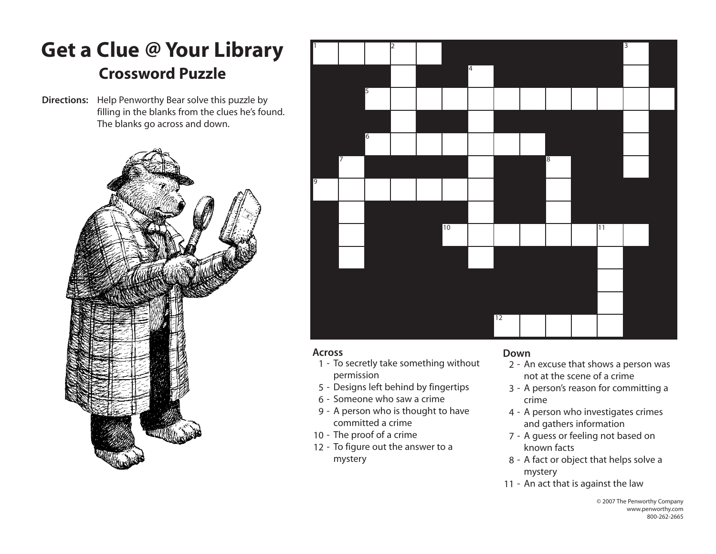# **Get a Clue @ Your Library Crossword Puzzle**

**Directions:** Help Penworthy Bear solve this puzzle by filling in the blanks from the clues he's found. The blanks go across and down.





### **Across**

- 1 To secretly take something without permission
- 5 Designs left behind by fingertips
- 6 Someone who saw a crime
- 9 A person who is thought to have committed a crime
- 10 The proof of a crime
- 12 To figure out the answer to a mystery

### **Down**

- 2 An excuse that shows a person was not at the scene of a crime
- 3 A person's reason for committing a crime
- 4 A person who investigates crimes and gathers information
- 7 A guess or feeling not based on known facts
- 8 A fact or object that helps solve a mystery
- 11 An act that is against the law

© 2007 The Penworthy Company www.penworthy.com 800-262-2665